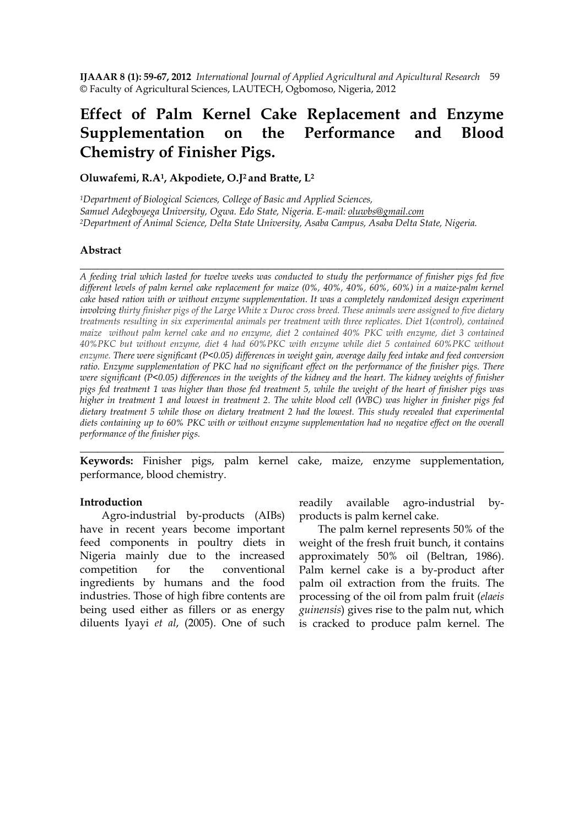**IJAAAR 8 (1): 59-67, 2012** *International Journal of Applied Agricultural and Apicultural Research* 59 © Faculty of Agricultural Sciences, LAUTECH, Ogbomoso, Nigeria, 2012

# **Effect of Palm Kernel Cake Replacement and Enzyme Supplementation on the Performance and Blood Chemistry of Finisher Pigs.**

**Oluwafemi, R.A1, Akpodiete, O.J2 and Bratte, L<sup>2</sup>**

*<sup>1</sup>Department of Biological Sciences, College of Basic and Applied Sciences, Samuel Adegboyega University, Ogwa. Edo State, Nigeria. E-mail: oluwbs@gmail.com <sup>2</sup>Department of Animal Science, Delta State University, Asaba Campus, Asaba Delta State, Nigeria.* 

## **Abstract**

*A feeding trial which lasted for twelve weeks was conducted to study the performance of finisher pigs fed five different levels of palm kernel cake replacement for maize (0%, 40%, 40%, 60%, 60%) in a maize-palm kernel cake based ration with or without enzyme supplementation. It was a completely randomized design experiment involving thirty finisher pigs of the Large White x Duroc cross breed. These animals were assigned to five dietary treatments resulting in six experimental animals per treatment with three replicates. Diet 1(control), contained maize without palm kernel cake and no enzyme, diet 2 contained 40% PKC with enzyme, diet 3 contained 40%PKC but without enzyme, diet 4 had 60%PKC with enzyme while diet 5 contained 60%PKC without enzyme. There were significant (P<0.05) differences in weight gain, average daily feed intake and feed conversion ratio. Enzyme supplementation of PKC had no significant effect on the performance of the finisher pigs. There were significant (P<0.05) differences in the weights of the kidney and the heart. The kidney weights of finisher pigs fed treatment 1 was higher than those fed treatment 5, while the weight of the heart of finisher pigs was higher in treatment 1 and lowest in treatment 2. The white blood cell (WBC) was higher in finisher pigs fed dietary treatment 5 while those on dietary treatment 2 had the lowest. This study revealed that experimental diets containing up to 60% PKC with or without enzyme supplementation had no negative effect on the overall performance of the finisher pigs.* 

**\_\_\_\_\_\_\_\_\_\_\_\_\_\_\_\_\_\_\_\_\_\_\_\_\_\_\_\_\_\_\_\_\_\_\_\_\_\_\_\_\_\_\_\_\_\_\_\_\_\_\_\_\_\_\_\_\_\_\_\_\_\_\_\_\_\_\_\_\_\_\_\_** 

**Keywords:** Finisher pigs, palm kernel cake, maize, enzyme supplementation, performance, blood chemistry.

\_\_\_\_\_\_\_\_\_\_\_\_\_\_\_\_\_\_\_\_\_\_\_\_\_\_\_\_\_\_\_\_\_\_\_\_\_\_\_\_\_\_\_\_\_\_\_\_\_\_\_\_\_\_\_\_\_\_\_\_\_\_\_\_\_\_\_\_\_\_\_\_

#### **Introduction**

 Agro-industrial by-products (AIBs) have in recent years become important feed components in poultry diets in Nigeria mainly due to the increased competition for the conventional ingredients by humans and the food industries. Those of high fibre contents are being used either as fillers or as energy diluents Iyayi *et al*, (2005). One of such readily available agro-industrial byproducts is palm kernel cake.

 The palm kernel represents 50% of the weight of the fresh fruit bunch, it contains approximately 50% oil (Beltran, 1986). Palm kernel cake is a by-product after palm oil extraction from the fruits. The processing of the oil from palm fruit (*elaeis guinensis*) gives rise to the palm nut, which is cracked to produce palm kernel. The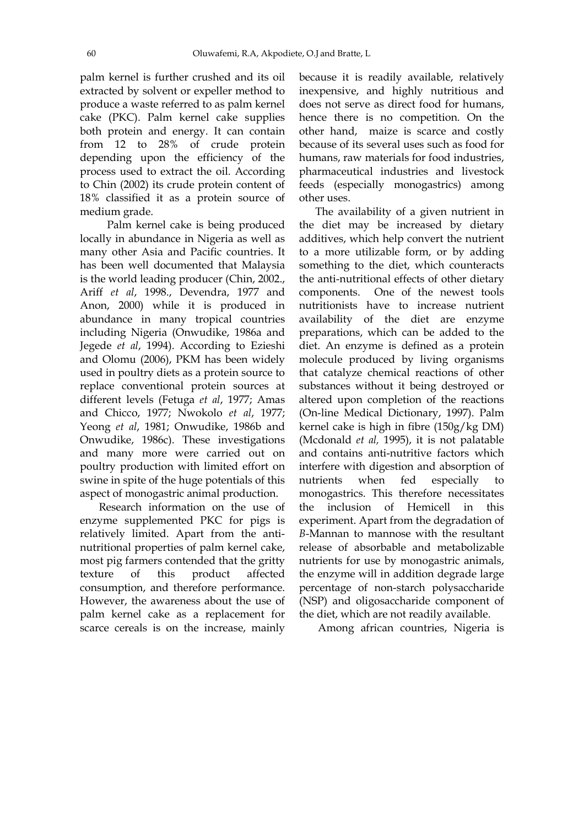palm kernel is further crushed and its oil extracted by solvent or expeller method to produce a waste referred to as palm kernel cake (PKC). Palm kernel cake supplies both protein and energy. It can contain from 12 to 28% of crude protein depending upon the efficiency of the process used to extract the oil. According to Chin (2002) its crude protein content of 18% classified it as a protein source of medium grade.

 Palm kernel cake is being produced locally in abundance in Nigeria as well as many other Asia and Pacific countries. It has been well documented that Malaysia is the world leading producer (Chin, 2002., Ariff *et al*, 1998., Devendra, 1977 and Anon, 2000) while it is produced in abundance in many tropical countries including Nigeria (Onwudike, 1986a and Jegede *et al*, 1994). According to Ezieshi and Olomu (2006), PKM has been widely used in poultry diets as a protein source to replace conventional protein sources at different levels (Fetuga *et al*, 1977; Amas and Chicco, 1977; Nwokolo *et al*, 1977; Yeong *et al*, 1981; Onwudike, 1986b and Onwudike, 1986c). These investigations and many more were carried out on poultry production with limited effort on swine in spite of the huge potentials of this aspect of monogastric animal production.

 Research information on the use of enzyme supplemented PKC for pigs is relatively limited. Apart from the antinutritional properties of palm kernel cake, most pig farmers contended that the gritty texture of this product affected consumption, and therefore performance. However, the awareness about the use of palm kernel cake as a replacement for scarce cereals is on the increase, mainly

because it is readily available, relatively inexpensive, and highly nutritious and does not serve as direct food for humans, hence there is no competition. On the other hand, maize is scarce and costly because of its several uses such as food for humans, raw materials for food industries. pharmaceutical industries and livestock feeds (especially monogastrics) among other uses.

 The availability of a given nutrient in the diet may be increased by dietary additives, which help convert the nutrient to a more utilizable form, or by adding something to the diet, which counteracts the anti-nutritional effects of other dietary components. One of the newest tools nutritionists have to increase nutrient availability of the diet are enzyme preparations, which can be added to the diet. An enzyme is defined as a protein molecule produced by living organisms that catalyze chemical reactions of other substances without it being destroyed or altered upon completion of the reactions (On-line Medical Dictionary, 1997). Palm kernel cake is high in fibre (150g/kg DM) (Mcdonald *et al,* 1995), it is not palatable and contains anti-nutritive factors which interfere with digestion and absorption of nutrients when fed especially to monogastrics. This therefore necessitates the inclusion of Hemicell in this experiment. Apart from the degradation of *B*-Mannan to mannose with the resultant release of absorbable and metabolizable nutrients for use by monogastric animals, the enzyme will in addition degrade large percentage of non-starch polysaccharide (NSP) and oligosaccharide component of the diet, which are not readily available.

Among african countries, Nigeria is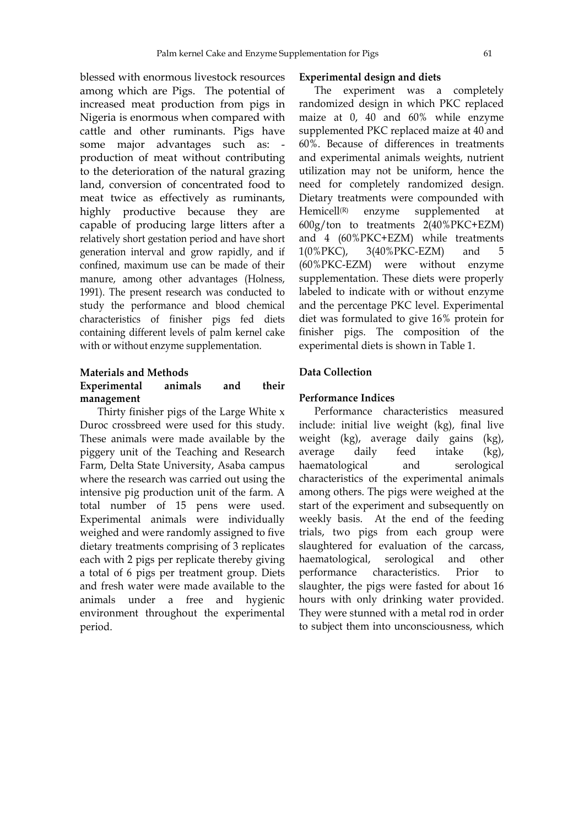blessed with enormous livestock resources among which are Pigs. The potential of increased meat production from pigs in Nigeria is enormous when compared with cattle and other ruminants. Pigs have some major advantages such as: production of meat without contributing to the deterioration of the natural grazing land, conversion of concentrated food to meat twice as effectively as ruminants, highly productive because they are capable of producing large litters after a relatively short gestation period and have short generation interval and grow rapidly, and if confined, maximum use can be made of their manure, among other advantages (Holness, 1991). The present research was conducted to study the performance and blood chemical characteristics of finisher pigs fed diets containing different levels of palm kernel cake with or without enzyme supplementation.

### **Materials and Methods**

# **Experimental animals and their management**

Thirty finisher pigs of the Large White x Duroc crossbreed were used for this study. These animals were made available by the piggery unit of the Teaching and Research Farm, Delta State University, Asaba campus where the research was carried out using the intensive pig production unit of the farm. A total number of 15 pens were used. Experimental animals were individually weighed and were randomly assigned to five dietary treatments comprising of 3 replicates each with 2 pigs per replicate thereby giving a total of 6 pigs per treatment group. Diets and fresh water were made available to the animals under a free and hygienic environment throughout the experimental period.

#### **Experimental design and diets**

 The experiment was a completely randomized design in which PKC replaced maize at 0, 40 and 60% while enzyme supplemented PKC replaced maize at 40 and 60%. Because of differences in treatments and experimental animals weights, nutrient utilization may not be uniform, hence the need for completely randomized design. Dietary treatments were compounded with Hemicell<sup>(R)</sup> enzyme supplemented at 600g/ton to treatments 2(40%PKC+EZM) and 4 (60%PKC+EZM) while treatments 1(0%PKC), 3(40%PKC-EZM) and 5 (60%PKC-EZM) were without enzyme supplementation. These diets were properly labeled to indicate with or without enzyme and the percentage PKC level. Experimental diet was formulated to give 16% protein for finisher pigs. The composition of the experimental diets is shown in Table 1.

# **Data Collection**

## **Performance Indices**

 Performance characteristics measured include: initial live weight (kg), final live weight (kg), average daily gains (kg), average daily feed intake (kg), haematological and serological characteristics of the experimental animals among others. The pigs were weighed at the start of the experiment and subsequently on weekly basis. At the end of the feeding trials, two pigs from each group were slaughtered for evaluation of the carcass, haematological, serological and other performance characteristics. Prior to slaughter, the pigs were fasted for about 16 hours with only drinking water provided. They were stunned with a metal rod in order to subject them into unconsciousness, which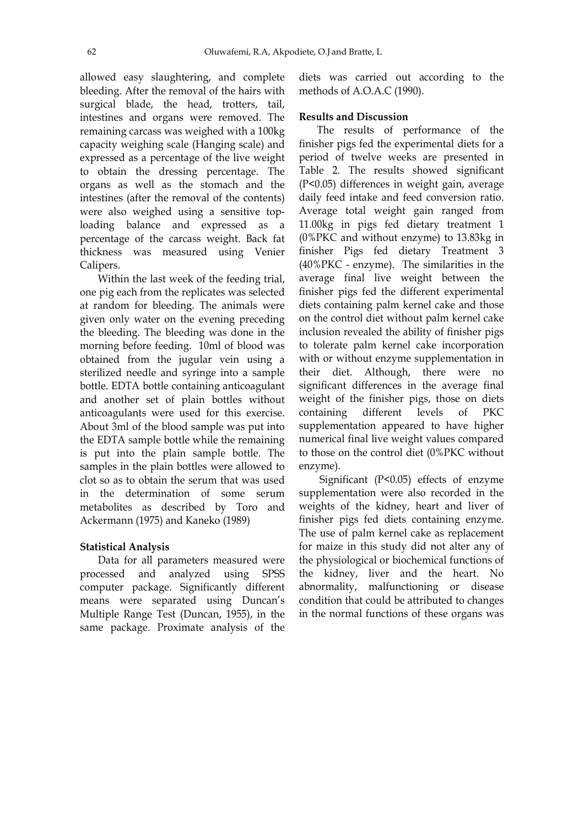allowed easy slaughtering, and complete bleeding. After the removal of the hairs with surgical blade, the head, trotters, tail, intestines and organs were removed. The remaining carcass was weighed with a 100kg capacity weighing scale (Hanging scale) and expressed as a percentage of the live weight to obtain the dressing percentage. The organs as well as the stomach and the intestines (after the removal of the contents) were also weighed using a sensitive toploading balance and expressed as a percentage of the carcass weight. Back fat thickness was measured using Venier Calipers.

 Within the last week of the feeding trial, one pig each from the replicates was selected at random for bleeding. The animals were given only water on the evening preceding the bleeding. The bleeding was done in the morning before feeding. 10ml of blood was obtained from the jugular vein using a sterilized needle and syringe into a sample bottle. EDTA bottle containing anticoagulant and another set of plain bottles without anticoagulants were used for this exercise. About 3ml of the blood sample was put into the EDTA sample bottle while the remaining is put into the plain sample bottle. The samples in the plain bottles were allowed to clot so as to obtain the serum that was used in the determination of some serum metabolites as described by Toro and Ackermann (1975) and Kaneko (1989)

# **Statistical Analysis**

 Data for all parameters measured were processed and analyzed using SPSS computer package. Significantly different means were separated using Duncan's Multiple Range Test (Duncan, 1955), in the same package. Proximate analysis of the

diets was carried out according to the methods of A.O.A.C (1990).

#### **Results and Discussion**

 The results of performance of the finisher pigs fed the experimental diets for a period of twelve weeks are presented in Table 2. The results showed significant (P<0.05) differences in weight gain, average daily feed intake and feed conversion ratio. Average total weight gain ranged from 11.00kg in pigs fed dietary treatment 1 (0%PKC and without enzyme) to 13.83kg in finisher Pigs fed dietary Treatment 3 (40%PKC - enzyme). The similarities in the average final live weight between the finisher pigs fed the different experimental diets containing palm kernel cake and those on the control diet without palm kernel cake inclusion revealed the ability of finisher pigs to tolerate palm kernel cake incorporation with or without enzyme supplementation in their diet. Although, there were no significant differences in the average final weight of the finisher pigs, those on diets containing different levels of PKC supplementation appeared to have higher numerical final live weight values compared to those on the control diet (0%PKC without enzyme).

 Significant (P<0.05) effects of enzyme supplementation were also recorded in the weights of the kidney, heart and liver of finisher pigs fed diets containing enzyme. The use of palm kernel cake as replacement for maize in this study did not alter any of the physiological or biochemical functions of the kidney, liver and the heart. No abnormality, malfunctioning or disease condition that could be attributed to changes in the normal functions of these organs was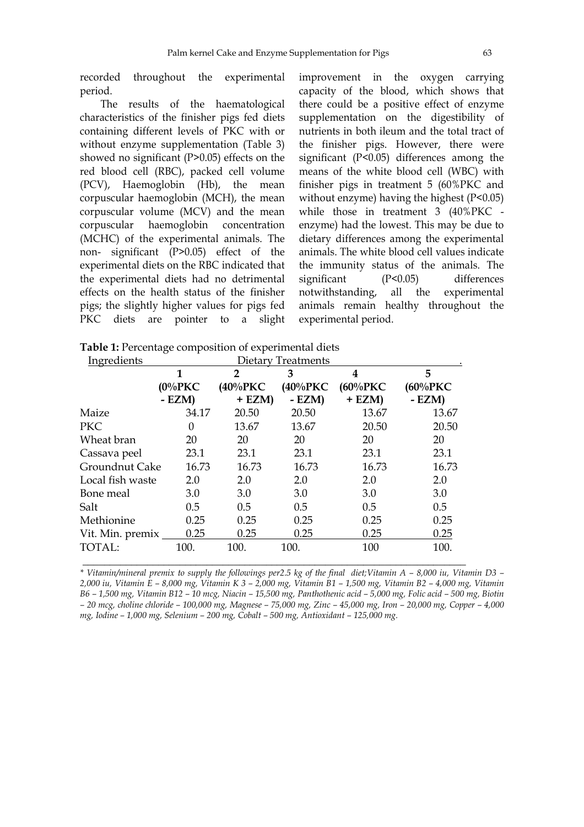recorded throughout the experimental period.

 The results of the haematological characteristics of the finisher pigs fed diets containing different levels of PKC with or without enzyme supplementation (Table 3) showed no significant (P>0.05) effects on the red blood cell (RBC), packed cell volume (PCV), Haemoglobin (Hb), the mean corpuscular haemoglobin (MCH), the mean corpuscular volume (MCV) and the mean corpuscular haemoglobin concentration (MCHC) of the experimental animals. The non- significant (P>0.05) effect of the experimental diets on the RBC indicated that the experimental diets had no detrimental effects on the health status of the finisher pigs; the slightly higher values for pigs fed PKC diets are pointer to a slight improvement in the oxygen carrying capacity of the blood, which shows that there could be a positive effect of enzyme supplementation on the digestibility of nutrients in both ileum and the total tract of the finisher pigs. However, there were significant (P<0.05) differences among the means of the white blood cell (WBC) with finisher pigs in treatment 5 (60%PKC and without enzyme) having the highest (P<0.05) while those in treatment 3 (40%PKC enzyme) had the lowest. This may be due to dietary differences among the experimental animals. The white blood cell values indicate the immunity status of the animals. The significant (P<0.05) differences notwithstanding, all the experimental animals remain healthy throughout the experimental period.

| <b>Table 1:</b> Percentage composition of experimental diets |  |  |  |
|--------------------------------------------------------------|--|--|--|
|--------------------------------------------------------------|--|--|--|

| Ingredients      | Dietary Treatments |              |         |             |             |  |
|------------------|--------------------|--------------|---------|-------------|-------------|--|
|                  | 1                  | $\mathbf{2}$ | 3       | 4           | 5           |  |
|                  | $(0\%$ PKC         | (40%PKC)     | (40%PKC | $(60\%$ PKC | $(60\%$ PKC |  |
|                  | $- EZM$            | $+ EZM$      | $- EZM$ | $+ EZM$     | $- EZM$     |  |
| Maize            | 34.17              | 20.50        | 20.50   | 13.67       | 13.67       |  |
| <b>PKC</b>       | 0                  | 13.67        | 13.67   | 20.50       | 20.50       |  |
| Wheat bran       | 20                 | 20           | 20      | 20          | 20          |  |
| Cassava peel     | 23.1               | 23.1         | 23.1    | 23.1        | 23.1        |  |
| Groundnut Cake   | 16.73              | 16.73        | 16.73   | 16.73       | 16.73       |  |
| Local fish waste | 2.0                | 2.0          | 2.0     | 2.0         | 2.0         |  |
| Bone meal        | 3.0                | 3.0          | 3.0     | 3.0         | 3.0         |  |
| Salt             | 0.5                | 0.5          | 0.5     | 0.5         | 0.5         |  |
| Methionine       | 0.25               | 0.25         | 0.25    | 0.25        | 0.25        |  |
| Vit. Min. premix | 0.25               | 0.25         | 0.25    | 0.25        | 0.25        |  |
| <b>TOTAL:</b>    | 100.               | 100.         | 100.    | 100         | 100.        |  |
|                  |                    |              |         |             |             |  |

*\* Vitamin/mineral premix to supply the followings per2.5 kg of the final diet;Vitamin A – 8,000 iu, Vitamin D3 – 2,000 iu, Vitamin E – 8,000 mg, Vitamin K 3 – 2,000 mg, Vitamin B1 – 1,500 mg, Vitamin B2 – 4,000 mg, Vitamin B6 – 1,500 mg, Vitamin B12 – 10 mcg, Niacin – 15,500 mg, Panthothenic acid – 5,000 mg, Folic acid – 500 mg, Biotin – 20 mcg, choline chloride – 100,000 mg, Magnese – 75,000 mg, Zinc – 45,000 mg, Iron – 20,000 mg, Copper – 4,000 mg, Iodine – 1,000 mg, Selenium – 200 mg, Cobalt – 500 mg, Antioxidant – 125,000 mg.*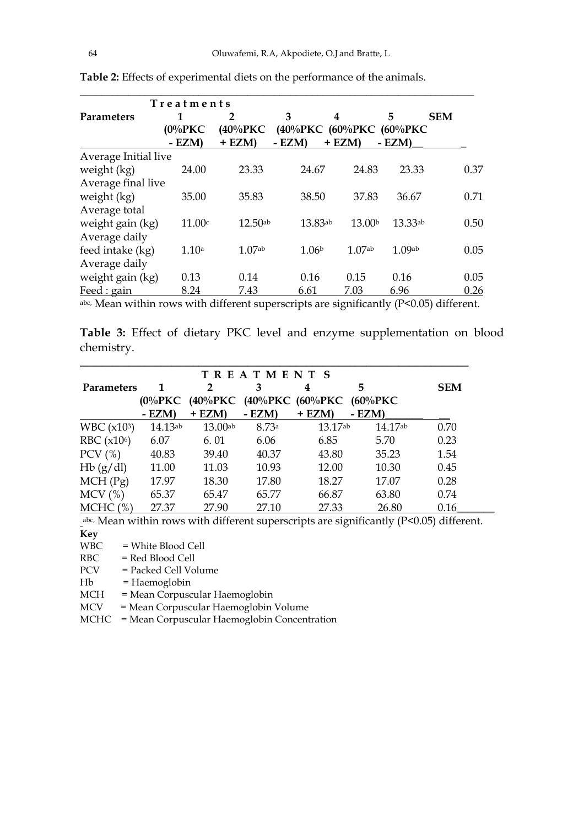|                      | Treatments |                    |                          |                    |              |            |
|----------------------|------------|--------------------|--------------------------|--------------------|--------------|------------|
| <b>Parameters</b>    | 1          | 2                  | 3                        | 4                  | 5            | <b>SEM</b> |
|                      | $(0\%$ PKC | $(40\%$ PKC        | (40%PKC (60%PKC (60%PKC) |                    |              |            |
|                      | $- EZM$    | $+ EZM$            | $- EZM$                  | $+ EZM$            | $-$ EZM)     |            |
| Average Initial live |            |                    |                          |                    |              |            |
| weight (kg)          | 24.00      | 23.33              | 24.67                    | 24.83              | 23.33        | 0.37       |
| Average final live   |            |                    |                          |                    |              |            |
| weight (kg)          | 35.00      | 35.83              | 38.50                    | 37.83              | 36.67        | 0.71       |
| Average total        |            |                    |                          |                    |              |            |
| weight gain (kg)     | 11.00c     | $12.50$ ab         | 13.83ab                  | 13.00 <sup>b</sup> | $13.33^{ab}$ | 0.50       |
| Average daily        |            |                    |                          |                    |              |            |
| feed intake (kg)     | 1.10a      | 1.07 <sub>ab</sub> | 1.06 <sup>b</sup>        | 1.07 <sub>ab</sub> | 1.09ab       | 0.05       |
| Average daily        |            |                    |                          |                    |              |            |
| weight gain (kg)     | 0.13       | 0.14               | 0.16                     | 0.15               | 0.16         | 0.05       |
| Feed : gain          | 8.24       | 7.43               | 6.61                     | 7.03               | 6.96         | 0.26       |

**Table 2:** Effects of experimental diets on the performance of the animals.

abc, Mean within rows with different superscripts are significantly (P<0.05) different.

**Table 3:** Effect of dietary PKC level and enzyme supplementation on blood chemistry.

| <b>TREATMENTS</b>            |              |                  |        |                              |                  |            |
|------------------------------|--------------|------------------|--------|------------------------------|------------------|------------|
| <b>Parameters</b>            | 1<br>(0%PKC) | 2<br>$(40\%$ PKC | 3      | 4<br>$(40\%$ PKC $(60\%$ PKC | 5<br>$(60\%$ PKC | <b>SEM</b> |
|                              | $-$ EZM)     | $+$ EZM)         | - EZM) | + EZM)                       | - EZM)           |            |
| WBC (x103)                   | 14.13ab      | $13.00$ ab       | 8.73a  | 13.17 <sub>ab</sub>          | 14.17ab          | 0.70       |
| RBC $(x106)$                 | 6.07         | 6.01             | 6.06   | 6.85                         | 5.70             | 0.23       |
| $PCV$ (%)                    | 40.83        | 39.40            | 40.37  | 43.80                        | 35.23            | 1.54       |
| Hb(g/dl)                     | 11.00        | 11.03            | 10.93  | 12.00                        | 10.30            | 0.45       |
| MCH(Pg)                      | 17.97        | 18.30            | 17.80  | 18.27                        | 17.07            | 0.28       |
| $MCV$ (%)                    | 65.37        | 65.47            | 65.77  | 66.87                        | 63.80            | 0.74       |
| <b>MCHC</b><br>$\frac{9}{6}$ | 27.37        | 27.90            | 27.10  | 27.33                        | 26.80            | 0.16       |

abc, Mean within rows with different superscripts are significantly (P<0.05) different. **Key** 

WBC = White Blood Cell<br>RBC = Red Blood Cell

= Red Blood Cell

PCV = Packed Cell Volume

Hb = Haemoglobin

MCH = Mean Corpuscular Haemoglobin

MCV = Mean Corpuscular Haemoglobin Volume

MCHC = Mean Corpuscular Haemoglobin Concentration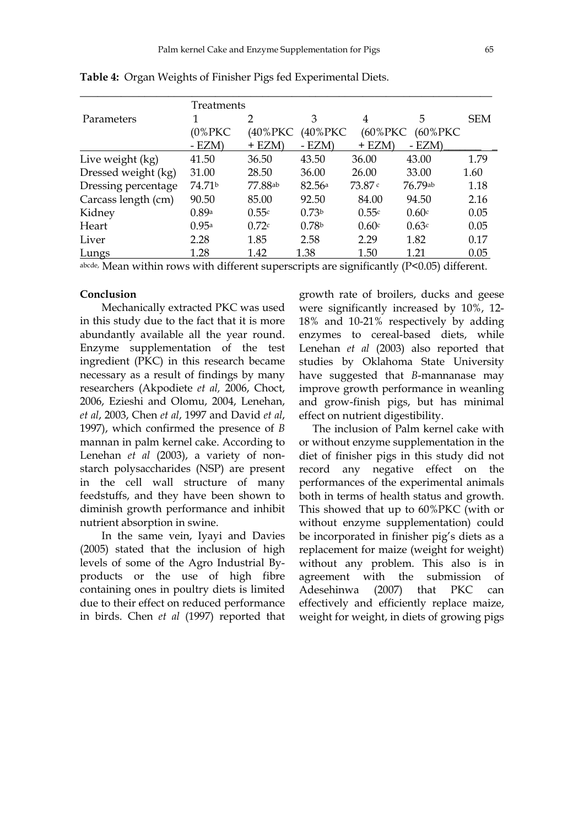| Treatments          |                    |          |                   |          |             |            |
|---------------------|--------------------|----------|-------------------|----------|-------------|------------|
| Parameters          |                    | 2        | 3                 | 4        | 5           | <b>SEM</b> |
|                     | (0%PKC)            | (40%PKC  | (40%PKC)          | (60%PKC  | $(60\%$ PKC |            |
|                     | $- EZM$            | $+$ EZM) | $- EZM$           | $+$ EZM) | $- EZM$     |            |
| Live weight (kg)    | 41.50              | 36.50    | 43.50             | 36.00    | 43.00       | 1.79       |
| Dressed weight (kg) | 31.00              | 28.50    | 36.00             | 26.00    | 33.00       | 1.60       |
| Dressing percentage | 74.71 <sup>b</sup> | 77.88ab  | 82.56a            | 73.87c   | 76.79ab     | 1.18       |
| Carcass length (cm) | 90.50              | 85.00    | 92.50             | 84.00    | 94.50       | 2.16       |
| Kidney              | 0.89a              | 0.55c    | 0.73 <sup>b</sup> | 0.55c    | 0.60c       | 0.05       |
| Heart               | 0.95a              | 0.72c    | 0.78 <sup>b</sup> | 0.60c    | 0.63c       | 0.05       |
| Liver               | 2.28               | 1.85     | 2.58              | 2.29     | 1.82        | 0.17       |
| <b>Lungs</b>        | 1.28               | 1.42     | 1.38              | 1.50     | 1.21        | 0.05       |

**Table 4:** Organ Weights of Finisher Pigs fed Experimental Diets.

abcde, Mean within rows with different superscripts are significantly (P<0.05) different.

### **Conclusion**

 Mechanically extracted PKC was used in this study due to the fact that it is more abundantly available all the year round. Enzyme supplementation of the test ingredient (PKC) in this research became necessary as a result of findings by many researchers (Akpodiete *et al,* 2006, Choct, 2006, Ezieshi and Olomu, 2004, Lenehan, *et al*, 2003, Chen *et al*, 1997 and David *et al*, 1997), which confirmed the presence of *B* mannan in palm kernel cake. According to Lenehan *et al* (2003), a variety of nonstarch polysaccharides (NSP) are present in the cell wall structure of many feedstuffs, and they have been shown to diminish growth performance and inhibit nutrient absorption in swine.

 In the same vein, Iyayi and Davies (2005) stated that the inclusion of high levels of some of the Agro Industrial Byproducts or the use of high fibre containing ones in poultry diets is limited due to their effect on reduced performance in birds. Chen *et al* (1997) reported that

growth rate of broilers, ducks and geese were significantly increased by 10%, 12- 18% and 10-21% respectively by adding enzymes to cereal-based diets, while Lenehan *et al* (2003) also reported that studies by Oklahoma State University have suggested that *B*-mannanase may improve growth performance in weanling and grow-finish pigs, but has minimal effect on nutrient digestibility.

 The inclusion of Palm kernel cake with or without enzyme supplementation in the diet of finisher pigs in this study did not record any negative effect on the performances of the experimental animals both in terms of health status and growth. This showed that up to 60%PKC (with or without enzyme supplementation) could be incorporated in finisher pig's diets as a replacement for maize (weight for weight) without any problem. This also is in agreement with the submission of Adesehinwa (2007) that PKC can effectively and efficiently replace maize, weight for weight, in diets of growing pigs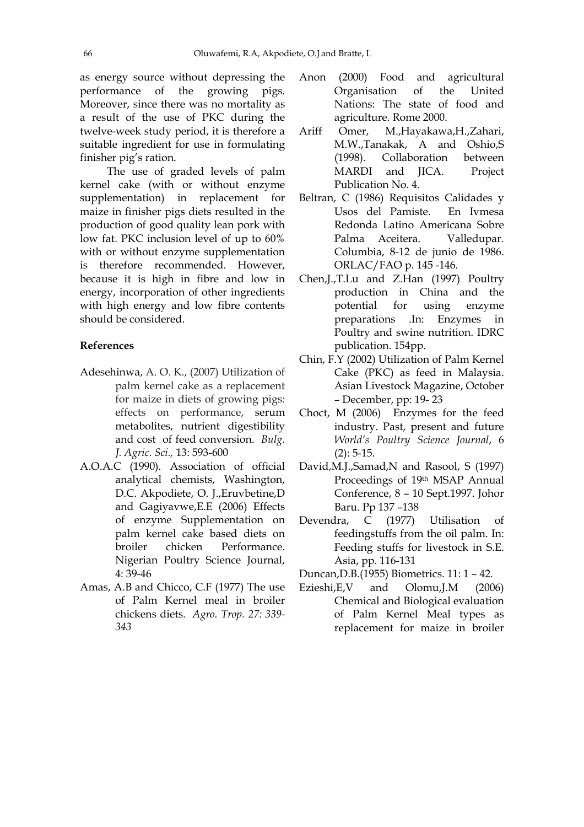as energy source without depressing the performance of the growing pigs. Moreover, since there was no mortality as a result of the use of PKC during the twelve-week study period, it is therefore a suitable ingredient for use in formulating finisher pig's ration.

 The use of graded levels of palm kernel cake (with or without enzyme supplementation) in replacement for maize in finisher pigs diets resulted in the production of good quality lean pork with low fat. PKC inclusion level of up to 60% with or without enzyme supplementation is therefore recommended. However, because it is high in fibre and low in energy, incorporation of other ingredients with high energy and low fibre contents should be considered.

### **References**

- Adesehinwa, A. O. K., (2007) Utilization of palm kernel cake as a replacement for maize in diets of growing pigs: effects on performance, serum metabolites, nutrient digestibility and cost of feed conversion. *Bulg. J. Agric. Sci.,* 13: 593-600
- A.O.A.C (1990). Association of official analytical chemists, Washington, D.C. Akpodiete, O. J.,Eruvbetine,D and Gagiyavwe,E.E (2006) Effects of enzyme Supplementation on palm kernel cake based diets on broiler chicken Performance. Nigerian Poultry Science Journal, 4: 39-46
- Amas, A.B and Chicco, C.F (1977) The use of Palm Kernel meal in broiler chickens diets. *Agro. Trop. 27: 339- 343*
- Anon (2000) Food and agricultural Organisation of the United Nations: The state of food and agriculture. Rome 2000.
- Ariff Omer, M.,Hayakawa,H.,Zahari, M.W.,Tanakak, A and Oshio,S (1998). Collaboration between MARDI and JICA. Project Publication No. 4.
- Beltran, C (1986) Requisitos Calidades y Usos del Pamiste. En Ivmesa Redonda Latino Americana Sobre Palma Aceitera. Valledupar. Columbia, 8-12 de junio de 1986. ORLAC/FAO p. 145 -146.
- Chen,J.,T.Lu and Z.Han (1997) Poultry production in China and the potential for using enzyme preparations .In: Enzymes in Poultry and swine nutrition. IDRC publication. 154pp.
- Chin, F.Y (2002) Utilization of Palm Kernel Cake (PKC) as feed in Malaysia. Asian Livestock Magazine, October – December, pp: 19- 23
- Choct, M (2006) Enzymes for the feed industry. Past, present and future *World's Poultry Science Journal*, 6  $(2): 5-15.$
- David,M.J.,Samad,N and Rasool, S (1997) Proceedings of 19th MSAP Annual Conference, 8 – 10 Sept.1997. Johor Baru. Pp 137 –138
- Devendra, C (1977) Utilisation of feedingstuffs from the oil palm. In: Feeding stuffs for livestock in S.E. Asia, pp. 116-131
- Duncan,D.B.(1955) Biometrics. 11: 1 42.
- Ezieshi,E,V and Olomu,J.M (2006) Chemical and Biological evaluation of Palm Kernel Meal types as replacement for maize in broiler